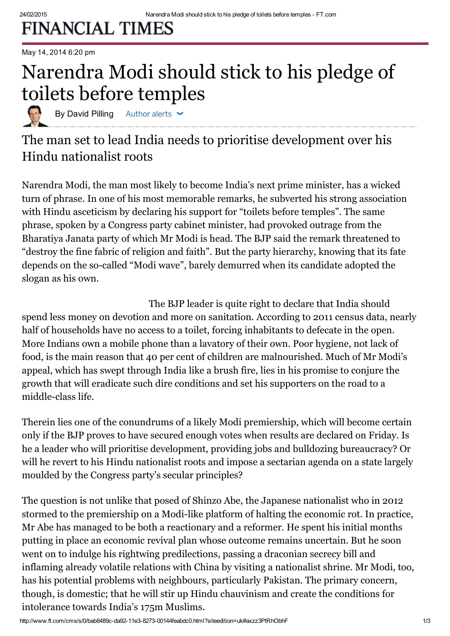## **FINANCIAL TIMES**

### May 14, 2014 6:20 pm

## Narendra Modi should stick to his pledge of toilets before temples

By David Pilling Author alerts  $\sim$ 

## The man set to lead India needs to prioritise development over his Hindu nationalist roots

[Narendra](http://www.ft.com/topics/people/Narendra_Modi) Modi, the man most likely to become India's next prime [minister,](http://blogs.ft.com/the-world/2014/05/india-election-what-we-know/) has a wicked turn of phrase. In one of his most memorable remarks, he subverted his strong association with Hindu asceticism by declaring his support for "toilets before temples". The same phrase, spoken by a Congress party cabinet minister, had provoked outrage from the [Bharatiya](http://www.ft.com/topics/organisations/Bharatiya_Janata_Party_India) Janata party of which Mr Modi is head. The BJP said the remark threatened to "destroy the fine fabric of religion and faith". But the party hierarchy, knowing that its fate depends on the so-called "Modi wave", barely demurred when its candidate adopted the slogan as his own.

The BJP leader is quite right to declare that [India](http://www.ft.com/world/asia-pacific/india) should spend less money on devotion and more on sanitation. According to 2011 census data, nearly half of households have no access to a toilet, forcing inhabitants to defecate in the open. More Indians own a mobile phone than a lavatory of their own. Poor hygiene, not lack of food, is the main reason that 40 per cent of children are malnourished. Much of Mr Modi's appeal, which has swept through India like a brush fire, lies in his promise to conjure the growth that will eradicate such dire conditions and set his supporters on the road to a middle-class life.

Therein lies one of the conundrums of a likely Modi premiership, which will become certain only if the BJP proves to have secured enough votes when results are declared on Friday. Is he a leader who will prioritise development, providing jobs and bulldozing bureaucracy? Or will he revert to his Hindu [nationalist](http://www.ft.com/intl/cms/s/0/004aad7e-d687-11e3-b251-00144feabdc0.html) roots and impose a sectarian agenda on a state largely moulded by the Congress party's secular principles?

The question is not unlike that posed of Shinzo Abe, the Japanese nationalist who in 2012 stormed to the premiership on a Modi-like platform of halting the economic rot. In practice, Mr Abe has managed to be both a reactionary and a reformer. He spent his initial months putting in place an economic revival plan whose outcome remains uncertain. But he soon went on to indulge his rightwing predilections, passing a draconian secrecy bill and inflaming already volatile relations with China by visiting a nationalist shrine. Mr Modi, too, has his potential problems with neighbours, particularly Pakistan. The primary concern, though, is domestic; that he will stir up Hindu chauvinism and create the conditions for intolerance towards India's 175m Muslims.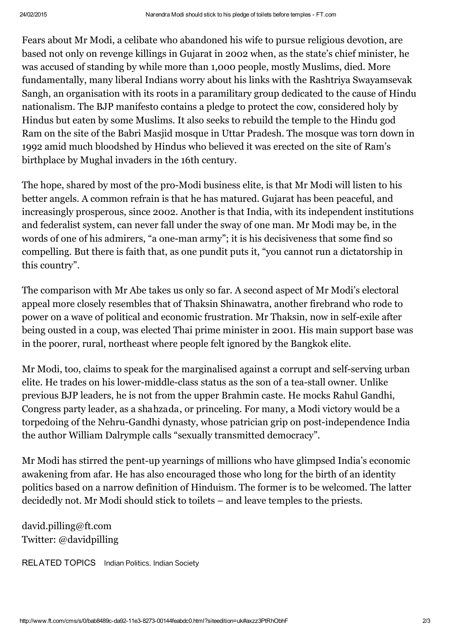Fears about Mr Modi, a celibate who abandoned his wife to pursue religious devotion, are based not only on revenge killings in Gujarat in 2002 when, as the state's chief minister, he was accused of standing by while more than 1,000 people, mostly Muslims, died. More fundamentally, many liberal Indians worry about his links with the Rashtriya Swayamsevak Sangh, an organisation with its roots in a paramilitary group dedicated to the cause of Hindu nationalism. The BJP manifesto contains a pledge to protect the cow, considered holy by Hindus but eaten by some Muslims. It also seeks to rebuild the temple to the Hindu god Ram on the site of the Babri Masjid mosque in Uttar Pradesh. The mosque was torn down in 1992 amid much bloodshed by Hindus who believed it was erected on the site of Ram's birthplace by Mughal invaders in the 16th century.

The hope, shared by most of the pro-Modi business elite, is that Mr Modi will listen to his better angels. A common refrain is that he has matured. Gujarat has been peaceful, and increasingly prosperous, since 2002. Another is that India, with its independent institutions and federalist system, can never fall under the sway of one man. Mr Modi may be, in the words of one of his admirers, "a one-man army"; it is his decisiveness that some find so compelling. But there is faith that, as one pundit puts it, "you cannot run a dictatorship in this country".

The comparison with Mr Abe takes us only so far. A second aspect of Mr Modi's electoral appeal more closely resembles that of Thaksin Shinawatra, another firebrand who rode to power on a wave of political and economic frustration. Mr Thaksin, now in self-exile after being ousted in a coup, was elected Thai prime minister in 2001. His main support base was in the poorer, rural, northeast where people felt ignored by the Bangkok elite.

Mr Modi, too, claims to speak for the marginalised against a corrupt and self-serving urban elite. He trades on his lower-middle-class status as the son of a tea-stall owner. Unlike previous BJP leaders, he is not from the upper Brahmin caste. He mocks Rahul Gandhi, Congress party leader, as a [shahzada,](http://www.hindustantimes.com/india-news/allaboutnarendramodi/narendra-modi-keeps-up-attack-on-shahzada/article1-1140691.aspx) or princeling. For many, a Modi victory would be a torpedoing of the Nehru-Gandhi dynasty, whose patrician grip on post-independence India the author William [Dalrymple](http://www.newstatesman.com/politics/2014/05/narendra-modi-man-masses) calls "sexually transmitted democracy".

Mr Modi has stirred the pent-up yearnings of millions who have glimpsed India's economic awakening from afar. He has also encouraged those who long for the birth of an identity politics based on a narrow definition of Hinduism. The former is to be welcomed. The latter decidedly not. Mr Modi should stick to toilets – and leave temples to the priests.

[david.pilling@ft.com](mailto:david.pilling@ft.com) Twitter: [@davidpilling](https://twitter.com/davidpilling)

RELATED TOPICS [Indian Politics,](http://www.ft.com/topics/themes/Indian_Politics) [Indian Society](http://www.ft.com/topics/themes/Indian_Society)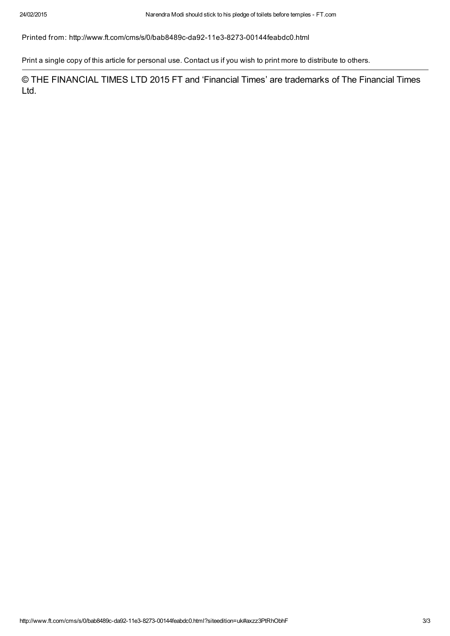Printed from: http://www.ft.com/cms/s/0/bab8489c-da92-11e3-8273-00144feabdc0.html

Print a single copy of this article for personal use. [Contact](http://www.ft.com/servicestools/help/contactus) us if you wish to print more to distribute to others.

© THE FINANCIAL TIMES LTD 2015 FT and 'Financial Times' are trademarks of The Financial Times Ltd.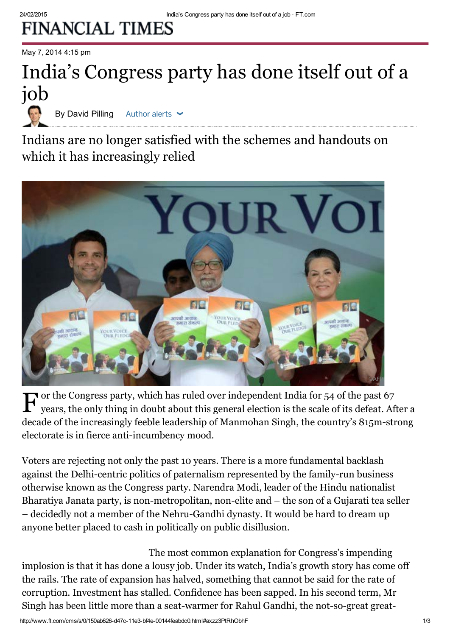# **FINANCIAL TIMES**

May 7, 2014 4:15 pm

# India's Congress party has done itself out of a job

By David Pilling Author alerts  $\sim$ 

Indians are no longer satisfied with the schemes and handouts on which it has increasingly relied



 $\mathbf{F}$  or the Congress party, which has ruled over independent [India](http://www.ft.com/world/asia-pacific/india) for 54 of the past 67 years, the only thing in doubt about this general election is the scale of its defeat. Af years, the only thing in doubt about this general [election](http://elections.ft.com/india/general-election-2014/) is the scale of its defeat. After a decade of the increasingly feeble leadership of Manmohan Singh, the country's 815m-strong electorate is in fierce anti-incumbency mood.

Voters are rejecting not only the past 10 years. There is a more fundamental backlash against the Delhi-centric politics of paternalism represented by the family-run business otherwise known as the Congress party. [Narendra](http://www.ft.com/topics/people/Narendra_Modi) Modi, leader of the Hindu nationalist Bharatiya Janata party, is non-metropolitan, non-elite and – the son of a Gujarati tea seller – decidedly not a member of the Nehru-Gandhi dynasty. It would be hard to dream up anyone better placed to cash in politically on public disillusion.

The most common explanation for Congress's impending implosion is that it has done a lousy job. Under its watch, India's growth story has come off the rails. The rate of expansion has halved, something that cannot be said for the rate of corruption. Investment has stalled. Confidence has been sapped. In his second term, Mr Singh has been little more than a seat-warmer for Rahul Gandhi, the not-so-great great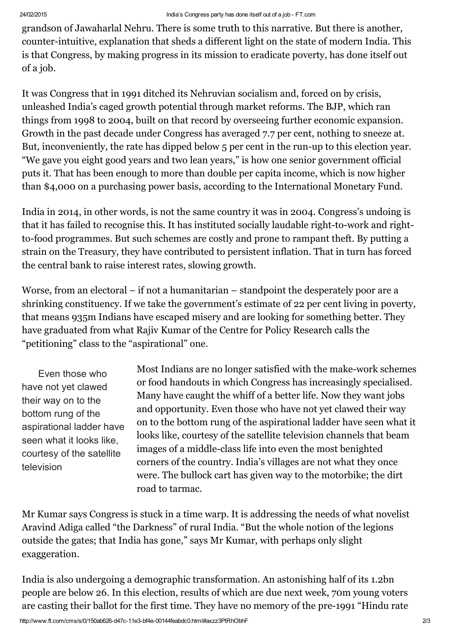grandson of Jawaharlal Nehru. There is some truth to this narrative. But there is another, counter-intuitive, explanation that sheds a different light on the state of modern India. This is that Congress, by making progress in its mission to eradicate poverty, has done itself out of a job.

It was Congress that in 1991 ditched its Nehruvian socialism and, forced on by crisis, unleashed India's caged growth potential through market reforms. The BJP, which ran things from 1998 to 2004, built on that record by overseeing further economic expansion. Growth in the past decade under Congress has averaged 7.7 per cent, nothing to sneeze at. But, inconveniently, the rate has dipped below 5 per cent in the run-up to this [election](http://www.ft.com/intl/indepth/india-elections) year. "We gave you eight good years and two lean years," is how one senior government official puts it. That has been enough to more than double per capita income, which is now higher than \$4,000 on a purchasing power basis, according to the International Monetary Fund.

India in 2014, in other words, is not the same country it was in 2004. Congress's undoing is that it has failed to recognise this. It has instituted socially laudable right-to-work and rightto-food programmes. But such schemes are costly and prone to rampant theft. By putting a strain on the Treasury, they have contributed to persistent inflation. That in turn has forced the central bank to raise interest rates, slowing growth.

Worse, from an electoral – if not a humanitarian – standpoint the desperately poor are a shrinking constituency. If we take the government's estimate of 22 per cent living in poverty, that means 935m Indians have escaped misery and are looking for something better. They have graduated from what Rajiv Kumar of the Centre for Policy Research calls the "petitioning" class to the "aspirational" one.

Even those who have not yet clawed their way on to the bottom rung of the aspirational ladder have seen what it looks like, courtesy of the satellite television

Most Indians are no longer satisfied with the make-work schemes or food handouts in which Congress has increasingly specialised. Many have caught the whiff of a better life. Now they want jobs and opportunity. Even those who have not yet clawed their way on to the bottom rung of the aspirational ladder have seen what it looks like, courtesy of the satellite television channels that beam images of a middle-class life into even the most benighted corners of the country. India's villages are not what they once were. The bullock cart has given way to the motorbike; the dirt road to tarmac.

Mr Kumar says [Congress](http://blogs.ft.com/beyond-brics/2014/05/07/india-elections-four-grim-challenges-for-a-demoralised-congress/) is stuck in a time warp. It is addressing the needs of what novelist Aravind Adiga called "the Darkness" of rural India. "But the whole notion of the legions outside the gates; that India has gone," says Mr Kumar, with perhaps only slight exaggeration.

India is also undergoing a demographic transformation. An astonishing half of its 1.2bn people are below 26. In this election, results of which are due next week, 70m young voters are casting their ballot for the first time. They have no memory of the pre-1991 "Hindu rate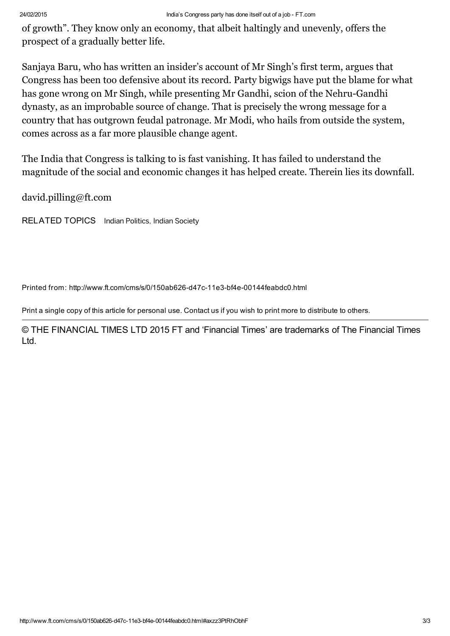of growth". They know only an economy, that albeit haltingly and unevenly, offers the prospect of a gradually better life.

Sanjaya Baru, who has written an insider's account of Mr Singh's first term, argues that Congress has been too defensive about its record. Party bigwigs have put the blame for what has gone wrong on Mr Singh, while presenting Mr Gandhi, scion of the Nehru-Gandhi dynasty, as an improbable source of change. That is precisely the wrong message for a country that has outgrown feudal patronage. Mr Modi, who hails from outside the system, comes across as a far more plausible change agent.

The India that Congress is talking to is fast vanishing. It has failed to understand the magnitude of the social and economic changes it has helped create. Therein lies its downfall.

[david.pilling@ft.com](mailto:david.pilling@ft.com)

RELATED TOPICS [Indian Politics,](http://www.ft.com/topics/themes/Indian_Politics) [Indian Society](http://www.ft.com/topics/themes/Indian_Society)

Printed from: http://www.ft.com/cms/s/0/150ab626-d47c-11e3-bf4e-00144feabdc0.html

Print a single copy of this article for personal use. [Contact](http://www.ft.com/servicestools/help/contactus) us if you wish to print more to distribute to others.

© THE FINANCIAL TIMES LTD 2015 FT and 'Financial Times' are trademarks of The Financial Times Ltd.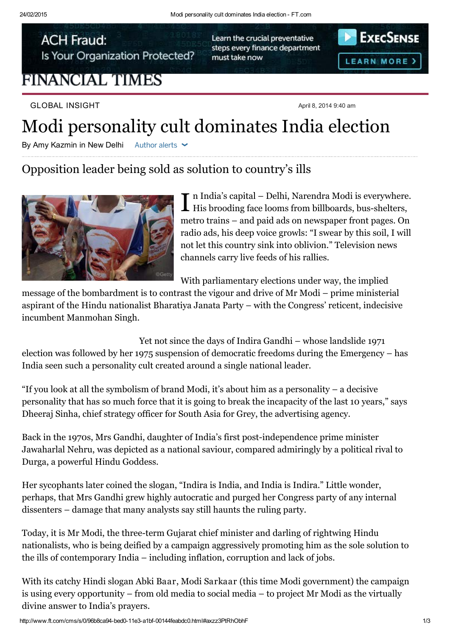**ACH Fraud:** Is Your Organization Protected?

## **FINANCIAL TIMES**

Learn the crucial preventative steps every finance department must take now



GLOBAL INSIGHT April 8, 2014 9:40 am

## Modi personality cult dominates India election

By Amy Kazmin in New Delhi Author alerts  $\sim$ 

## Opposition leader being sold as solution to country's ills



I n India's capital – Delhi, [Narendra](http://www.ft.com/intl/cms/s/0/aa8e1a6e-be1d-11e3-961f-00144feabdc0.html?siteedition=intl) Modi is everywhere. His brooding face looms from billboards, bus-shelters, metro trains – and paid ads on newspaper front pages. On radio ads, his deep voice growls: "I swear by this soil, I will not let this country sink into oblivion." Television news channels carry live feeds of his rallies.

With [parliamentary](http://www.ft.com/intl/indepth/india-elections) elections under way, the implied

message of the bombardment is to contrast the vigour and drive of Mr Modi – prime ministerial aspirant of the Hindu nationalist Bharatiya Janata Party – with the Congress' reticent, indecisive incumbent Manmohan Singh.

Yet not since the days of Indira Gandhi – whose landslide 1971 election was followed by her 1975 suspension of democratic freedoms during the Emergency – has India seen such a personality cult created around a single national leader.

"If you look at all the symbolism of brand Modi, it's about him as a personality – a decisive personality that has so much force that it is going to break the incapacity of the last 10 years," says Dheeraj Sinha, chief strategy officer for South Asia for Grey, the advertising agency.

Back in the 1970s, Mrs Gandhi, daughter of India's first post-independence prime minister Jawaharlal Nehru, was depicted as a national saviour, compared admiringly by a political rival to Durga, a powerful Hindu Goddess.

Her sycophants later coined the slogan, "Indira is India, and India is Indira." Little wonder, perhaps, that Mrs Gandhi grew highly autocratic and purged her Congress party of any internal dissenters – damage that many analysts say still haunts the ruling party.

Today, it is Mr Modi, the [three-term](http://www.ft.com/intl/cms/s/2/84693cf0-512c-11e3-9651-00144feabdc0.html#axzz2yHNpzhkp) Gujarat chief minister and darling of rightwing Hindu nationalists, who is being deified by a campaign aggressively promoting him as the sole solution to the ills of contemporary India – including inflation, corruption and lack of jobs.

With its catchy Hindi slogan Abki Baar, Modi Sarkaar (this time Modi government) the campaign is using every opportunity – from old media to social media – to project Mr Modi as the virtually divine answer to India's prayers.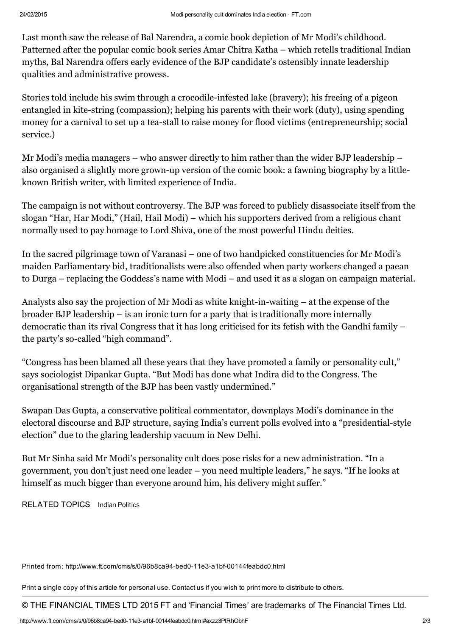Last month saw the release of Bal Narendra, a comic book depiction of Mr Modi's childhood. Patterned after the popular comic book series Amar Chitra Katha – which retells traditional Indian myths, Bal Narendra offers early evidence of the BJP candidate's ostensibly innate leadership qualities and administrative prowess.

Stories told include his swim through a crocodile-infested lake (bravery); his freeing of a pigeon entangled in kite-string (compassion); helping his parents with their work (duty), using spending money for a carnival to set up a tea-stall to raise money for flood victims (entrepreneurship; social service.)

Mr Modi's media managers – who answer directly to him rather than the wider BJP leadership – also organised a slightly more grown-up version of the comic book: a fawning [biography](http://blogs.ft.com/beyond-brics/2014/04/01/india-elections-narendra-modis-mystery-biographer/) by a littleknown British writer, with limited experience of India.

The campaign is not without controversy. The BJP was forced to publicly disassociate itself from the slogan "Har, Har Modi," (Hail, Hail Modi) – which his supporters derived from a religious chant normally used to pay homage to Lord Shiva, one of the most powerful Hindu deities.

In the sacred pilgrimage town of Varanasi – one of two handpicked constituencies for Mr Modi's maiden Parliamentary bid, traditionalists were also offended when party workers changed a paean to Durga – replacing the Goddess's name with Modi – and used it as a slogan on campaign material.

Analysts also say the projection of Mr Modi as white knight-in-waiting – at the expense of the broader BJP leadership – is an ironic turn for a party that is traditionally more internally democratic than its rival [Congress](http://www.ft.com/intl/cms/s/0/edbc1ece-bbbd-11e3-a31c-00144feabdc0.html?siteedition=intl#slide0) that it has long criticised for its fetish with the Gandhi family – the party's so-called "high command".

"Congress has been blamed all these years that they have promoted a family or personality cult," says sociologist Dipankar Gupta. "But Modi has done what Indira did to the Congress. The organisational strength of the BJP has been vastly undermined."

Swapan Das Gupta, a conservative political commentator, downplays Modi's dominance in the electoral discourse and BJP structure, saying India's current polls evolved into a "presidential-style election" due to the glaring leadership vacuum in New Delhi.

But Mr Sinha said Mr Modi's personality cult does pose risks for a new administration. "In a government, you don't just need one leader – you need multiple leaders," he says. "If he looks at himself as much bigger than everyone around him, his delivery might suffer."

RELATED TOPICS [Indian Politics](http://www.ft.com/topics/themes/Indian_Politics)

Printed from: http://www.ft.com/cms/s/0/96b8ca94-bed0-11e3-a1bf-00144feabdc0.html

Print a single copy of this article for personal use. [Contact](http://www.ft.com/servicestools/help/contactus) us if you wish to print more to distribute to others.

© THE FINANCIAL TIMES LTD 2015 FT and 'Financial Times' are trademarks of The Financial Times Ltd.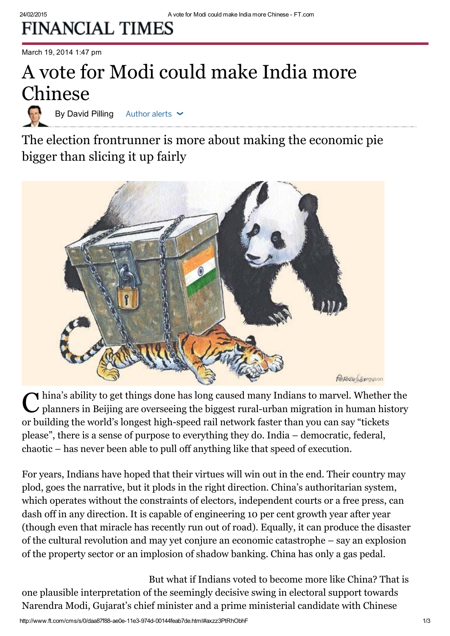## **FINANCIAL TIMES**

March 19, 2014 1:47 pm

## A vote for Modi could make India more Chinese

By David Pilling Author alerts

The election frontrunner is more about making the economic pie bigger than slicing it up fairly



China's ability to get things done has long caused many Indians to marvel. Whether the planners in Beijing are overseeing the biggest rural-urban migration in human history  $\blacktriangle$  hina's ability to get things done has long caused many Indians to marvel. Whether the or building the world's longest high-speed rail network faster than you can say "tickets please", there is a sense of purpose to everything they do. [India](http://www.ft.com/india) – democratic, federal, chaotic – has never been able to pull off anything like that speed of execution.

For years, Indians have hoped that their virtues will win out in the end. Their country may plod, goes the narrative, but it plods in the right direction. [China'](http://www.ft.com/world/asia-pacific/china)s authoritarian system, which operates without the constraints of electors, independent courts or a free press, can dash off in any direction. It is capable of engineering 10 per cent growth year after year (though even that miracle has recently run out of road). Equally, it can produce the disaster of the cultural revolution and may yet conjure an economic catastrophe – say an explosion of the property sector or an implosion of shadow banking. China has only a gas pedal.

But what if Indians voted to become more like China? That is one plausible interpretation of the seemingly decisive swing in electoral support towards [Narendra](http://www.ft.com/topics/people/Narendra_Modi) Modi, Gujarat's chief minister and a prime ministerial candidate with Chinese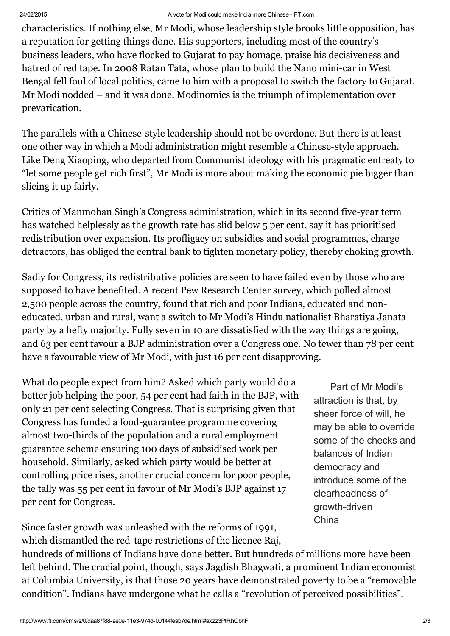characteristics. If nothing else, Mr Modi, whose leadership style brooks little opposition, has a reputation for getting things done. His supporters, including most of the country's business leaders, who have flocked to Gujarat to pay homage, praise his decisiveness and hatred of red tape. In 2008 Ratan Tata, whose plan to build the Nano mini-car in West Bengal fell foul of local politics, came to him with a proposal to switch the factory to [Gujarat](http://www.ft.com/cms/s/0/c3edd1f0-4054-11e1-9bce-00144feab49a.html). Mr Modi nodded – and it was done. Modinomics is the triumph of implementation over prevarication.

The parallels with a Chinese-style leadership should not be overdone. But there is at least one other way in which a Modi administration might resemble a Chinese-style approach. Like Deng Xiaoping, who departed from Communist ideology with his pragmatic entreaty to "let some people get rich first", Mr Modi is more about making the economic pie bigger than slicing it up fairly.

Critics of Manmohan Singh's Congress administration, which in its second five-year term has watched helplessly as the growth rate has slid below 5 per cent, say it has prioritised redistribution over expansion. Its profligacy on subsidies and social programmes, charge detractors, has obliged the central bank to tighten monetary policy, thereby choking growth.

Sadly for Congress, its redistributive policies are seen to have failed even by those who are supposed to have benefited. A recent Pew Research Center survey, which polled almost 2,500 people across the country, found that rich and poor Indians, educated and noneducated, urban and rural, want a switch to Mr Modi's Hindu nationalist Bharatiya Janata party by a hefty majority. Fully seven in 10 are [dissatisfied](http://www.ft.com/cms/s/0/7b8e6f44-ace2-11e3-af3e-00144feab7de.html) with the way things are going, and 63 per cent favour a BJP administration over a Congress one. No fewer than 78 per cent have a favourable view of Mr Modi, with just 16 per cent disapproving.

What do people expect from him? Asked which party would do a better job helping the poor, 54 per cent had faith in the BJP, with only 21 per cent selecting Congress. That is surprising given that Congress has funded a food-guarantee programme covering almost two-thirds of the population and a rural employment guarantee scheme ensuring 100 days of subsidised work per household. Similarly, asked which party would be better at controlling price rises, another crucial concern for poor people, the tally was 55 per cent in favour of Mr Modi's BJP against 17 per cent for Congress.

Since faster growth was unleashed with the reforms of 1991, which dismantled the red-tape restrictions of the licence Raj,

Part of Mr Modi's attraction is that, by sheer force of will, he may be able to override some of the checks and balances of Indian democracy and introduce some of the clearheadness of growth-driven **China** 

hundreds of millions of Indians have done better. But hundreds of millions more have been left behind. The crucial point, though, says Jagdish Bhagwati, a prominent Indian economist at Columbia University, is that those 20 years have demonstrated poverty to be a "removable condition". Indians have undergone what he calls a "revolution of perceived possibilities".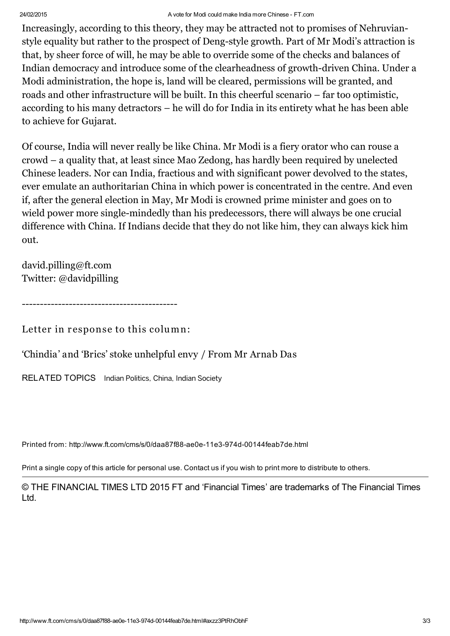### 24/02/2015 A vote for Modi could make India more Chinese - FT.com

Increasingly, according to this theory, they may be attracted not to promises of Nehruvianstyle equality but rather to the prospect of Deng-style growth. Part of Mr Modi's attraction is that, by sheer force of will, he may be able to override some of the checks and balances of Indian democracy and introduce some of the clearheadness of growth-driven China. Under a Modi administration, the hope is, land will be cleared, permissions will be granted, and roads and other infrastructure will be built. In this cheerful scenario – far too optimistic, according to his many detractors – he will do for India in its entirety what he has been able to achieve for Gujarat.

Of course, India will never really be like China. Mr Modi is a fiery orator who can rouse a crowd – a quality that, at least since Mao Zedong, has hardly been required by unelected Chinese leaders. Nor can India, fractious and with significant power devolved to the states, ever emulate an authoritarian China in which power is concentrated in the centre. And even if, after the general election in May, Mr Modi is crowned prime minister and goes on to wield power more single-mindedly than his predecessors, there will always be one crucial difference with China. If Indians decide that they do not like him, they can always kick him out.

[david.pilling@ft.com](mailto:david.pilling@ft.com) Twitter: [@davidpilling](https://twitter.com/davidpilling)

-------------------------------------------

Letter in response to this column:

'Chindia' and 'Brics' stoke [unhelpful](http://www.ft.com/intl/cms/s/0/aa30fe1a-b026-11e3-b0d0-00144feab7de.html) envy / From Mr Arnab Das

RELATED TOPICS [Indian Politics,](http://www.ft.com/topics/themes/Indian_Politics) [China,](http://www.ft.com/topics/places/China) [Indian Society](http://www.ft.com/topics/themes/Indian_Society)

Printed from: http://www.ft.com/cms/s/0/daa87f88-ae0e-11e3-974d-00144feab7de.html

Print a single copy of this article for personal use. [Contact](http://www.ft.com/servicestools/help/contactus) us if you wish to print more to distribute to others.

© THE FINANCIAL TIMES LTD 2015 FT and 'Financial Times' are trademarks of The Financial Times Ltd.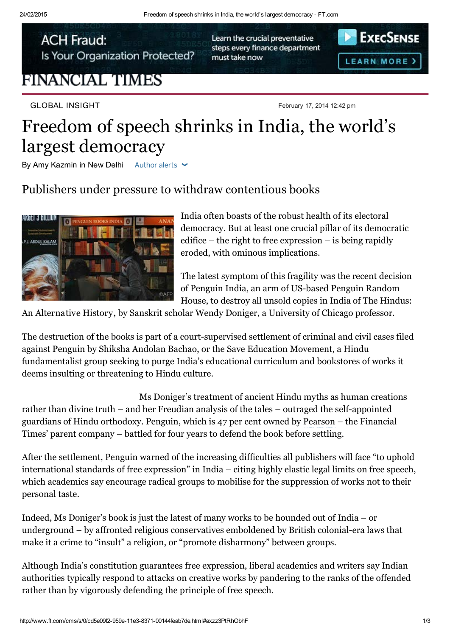**ACH Fraud:** Is Your Organization Protected?

## **FINANCIAL TIMES**

GLOBAL INSIGHT February 17, 2014 12:42 pm

Learn the crucial preventative steps every finance department must take now



## Freedom of speech shrinks in India, the world's largest democracy

By Amy Kazmin in New Delhi Author alerts  $\sim$ 

### Publishers under pressure to withdraw contentious books



[India](http://www.ft.com/world/asia-pacific/india) often boasts of the robust health of its electoral democracy. But at least one crucial pillar of its democratic edifice – the right to free expression – is being rapidly eroded, with ominous implications.

The latest symptom of this fragility was the recent decision of Penguin India, an arm of US-based Penguin Random House, to destroy all unsold copies in India of The Hindus:

An Alternative History, by Sanskrit scholar Wendy Doniger, a University of Chicago professor.

The destruction of the books is part of a court-supervised settlement of criminal and civil cases filed against Penguin by Shiksha Andolan Bachao, or the Save Education Movement, a Hindu fundamentalist group seeking to purge India's educational curriculum and bookstores of works it deems insulting or threatening to Hindu culture.

Ms Doniger's treatment of ancient Hindu myths as human creations rather than divine truth – and her Freudian analysis of the tales – outraged the self-appointed guardians of Hindu orthodoxy. Penguin, which is 47 per cent owned by [Pearson](http://markets.ft.com/tearsheets/performance.asp?s=uk:PSON) – the Financial Times' parent company – battled for four years to defend the book before settling.

After the settlement, Penguin warned of the increasing difficulties all publishers will face "to uphold international standards of free [expression"](http://www.ft.com/intl/cms/s/0/e2af01f8-954e-11e3-8371-00144feab7de.html?siteedition=intl) in India – citing highly elastic legal limits on free speech, which academics say encourage radical groups to mobilise for the suppression of works not to their personal taste.

Indeed, Ms Doniger's book is just the latest of many works to be hounded out of India – or underground – by affronted religious conservatives emboldened by British colonial-era laws that make it a crime to "insult" a religion, or "promote disharmony" between groups.

Although India's constitution guarantees free expression, liberal academics and writers say Indian authorities typically respond to attacks on creative works by pandering to the ranks of the offended rather than by vigorously defending the principle of free speech.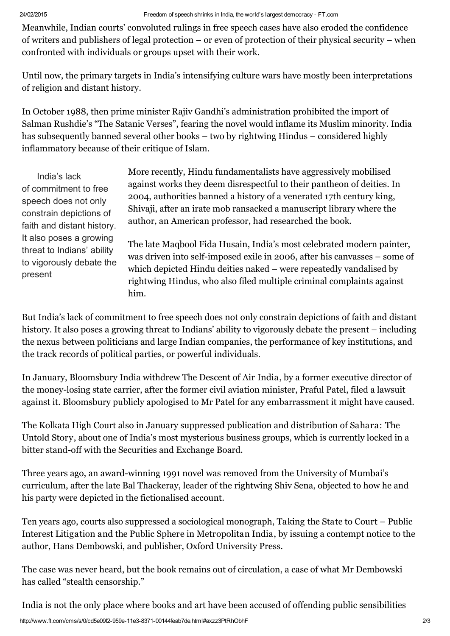Meanwhile, Indian courts' convoluted rulings in free speech cases have also eroded the confidence of writers and publishers of legal protection – or even of protection of their physical security – when confronted with individuals or groups upset with their work.

Until now, the primary targets in India's intensifying culture wars have mostly been interpretations of religion and distant history.

In October 1988, then prime minister Rajiv Gandhi's administration prohibited the import of Salman Rushdie's "The Satanic Verses", fearing the novel would inflame its Muslim minority. India has subsequently banned several other books – two by rightwing Hindus – considered highly inflammatory because of their critique of Islam.

India's lack of commitment to free speech does not only constrain depictions of faith and distant history. It also poses a growing threat to Indians' ability to vigorously debate the present

More recently, Hindu fundamentalists have aggressively mobilised against works they deem disrespectful to their pantheon of deities. In 2004, authorities banned a history of a venerated 17th century king, Shivaji, after an irate mob ransacked a manuscript library where the author, an American professor, had researched the book.

The late Maqbool Fida Husain, India's most celebrated modern painter, was driven into self-imposed exile in 2006, after his canvasses – some of which depicted Hindu deities naked – were repeatedly vandalised by rightwing Hindus, who also filed multiple criminal complaints against him.

But India's lack of commitment to free speech does not only constrain depictions of faith and distant history. It also poses a growing threat to Indians' ability to vigorously debate the present – including the nexus between politicians and large Indian companies, the performance of key institutions, and the track records of political parties, or powerful individuals.

In January, Bloomsbury India withdrew The Descent of Air India, by a former executive director of the money-losing state carrier, after the former civil aviation minister, Praful Patel, filed a lawsuit against it. Bloomsbury publicly apologised to Mr Patel for any embarrassment it might have caused.

The Kolkata High Court also in January suppressed publication and distribution of Sahara: The Untold Story, about one of India's most mysterious business groups, which is currently locked in a bitter stand-off with the Securities and Exchange Board.

Three years ago, an award-winning 1991 novel was removed from the University of Mumbai's curriculum, after the late Bal Thackeray, leader of the rightwing Shiv Sena, objected to how he and his party were depicted in the fictionalised account.

Ten years ago, courts also suppressed a sociological monograph, Taking the State to Court – Public Interest Litigation and the Public Sphere in Metropolitan India, by issuing a contempt notice to the author, Hans Dembowski, and publisher, Oxford University Press.

The case was never heard, but the book remains out of circulation, a case of what Mr Dembowski has called "stealth censorship."

India is not the only place where books and art have been accused of offending public sensibilities